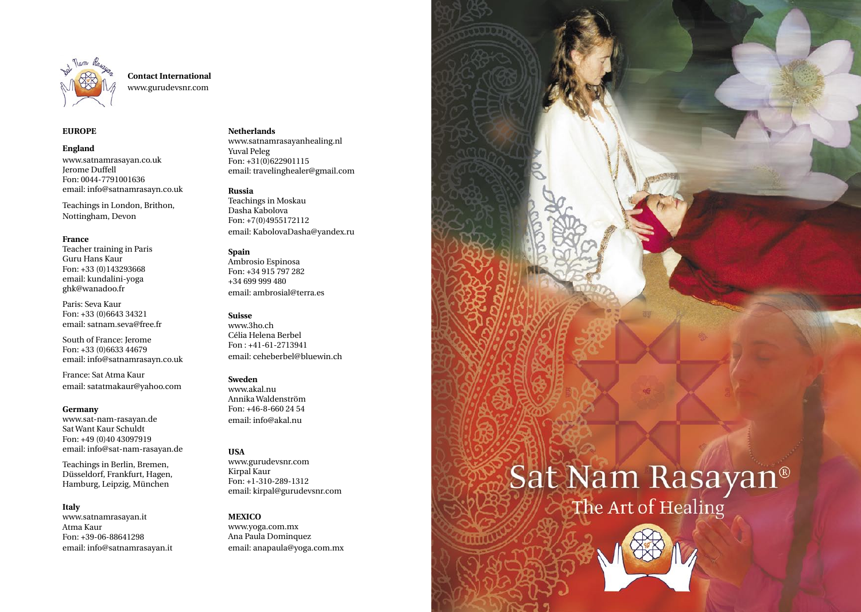

**Contact International** www.gurudevsnr.com

### **EUROPE**

**England** www.satnamrasayan.co.uk Jerome Duffell Fon: 0044-7791001636 email: info@satnamrasayn.co.uk

Teachings in London, Brithon, Nottingham, Devon

#### **France**

Teacher training in Paris Guru Hans Kaur Fon: +33 (0)143293668 email: kundalini-yoga ghk@wanadoo.fr

Paris: Seva Kaur Fon: +33 (0)6643 34321 email: satnam.seva@free.fr

South of France: Jerome Fon: +33 (0)6633 44679 email: info@satnamrasayn.co.uk

France: Sat Atma Kaur email: satatmakaur@yahoo.com

#### **Germany**

www.sat-nam-rasayan.de Sat Want Kaur Schuldt Fon: +49 (0)40 43097919 email: info@sat-nam-rasayan.de

Teachings in Berlin, Bremen, Düsseldorf, Frankfurt, Hagen, Hamburg, Leipzig, München

#### **Italy**

www.satnamrasayan.it Atma Kaur Fon: +39-06-88641298 email: info@satnamrasayan.it

#### **Netherlands**

www.satnamrasayanhealing.nl Yuval Peleg Fon: +31(0)622901115 email: travelinghealer@gmail.com

#### **Russia**

Teachings in Moskau Dasha Kabolova Fon: +7(0)4955172112 email: KabolovaDasha@yandex.ru

#### **Spain**

Ambrosio Espinosa Fon: +34 915 797 282 +34 699 999 480 email: ambrosial@terra.es

#### **Suisse**

www.3ho.ch Célia Helena Berbel Fon : +41-61-2713941 email: ceheberbel@bluewin.ch

#### **Sweden**

www.akal.nu Annika Waldenström Fon: +46-8-660 24 54 email: info@akal.nu

#### **USA**

www.gurudevsnr.com Kirpal Kaur Fon: +1-310-289-1312 email: kirpal@gurudevsnr.com

#### **MEXICO**

www.yoga.com.mx Ana Paula Dominquez email: anapaula@yoga.com.mx Sat Nam Rasayan<sup>®</sup>

**SAT NAM** 

**RASAYAN**

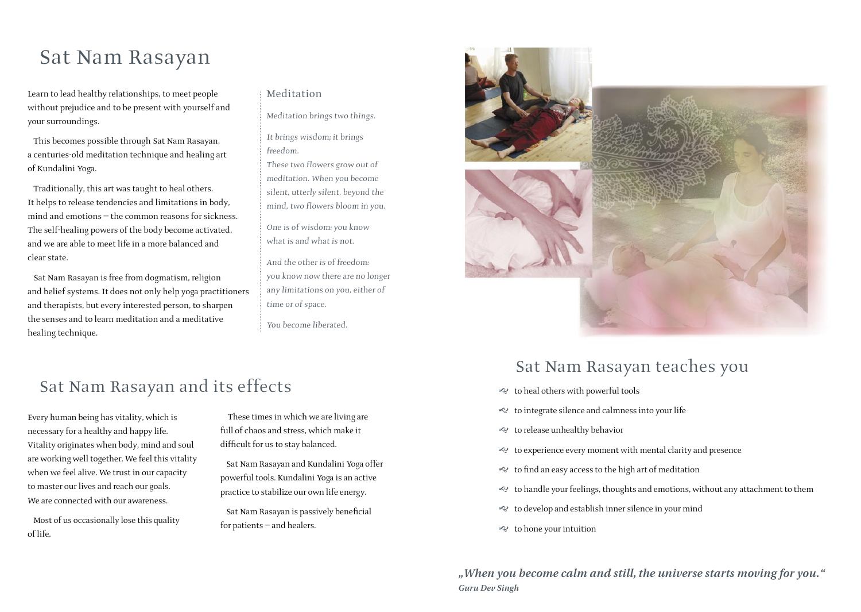## Sat Nam Rasayan

Learn to lead healthy relationships, to meet people without prejudice and to be present with yourself and your surroundings.

This becomes possible through Sat Nam Rasayan, a centuries-old meditation technique and healing art of Kundalini Yoga.

Traditionally, this art was taught to heal others. It helps to release tendencies and limitations in body, mind and emotions — the common reasons for sickness. The self-healing powers of the body become activated, and we are able to meet life in a more balanced and clear state.

Sat Nam Rasayan is free from dogmatism, religion and belief systems. It does not only help yoga practitioners and therapists, but every interested person, to sharpen the senses and to learn meditation and a meditative healing technique.

### Meditation

Meditation brings two things.

It brings wisdom; it brings freedom.

These two flowers grow out of meditation. When you become silent, utterly silent, beyond the mind, two flowers bloom in you.

One is of wisdom: you know what is and what is not.

And the other is of freedom: you know now there are no longer any limitations on you, either of time or of space.

You become liberated.

### Sat Nam Rasayan and its effects

Every human being has vitality, which is necessary for a healthy and happy life. Vitality originates when body, mind and soul are working well together. We feel this vitality when we feel alive. We trust in our capacity to master our lives and reach our goals. We are connected with our awareness.

Most of us occasionally lose this quality of life.

 These times in which we are living are full of chaos and stress, which make it difficult for us to stay balanced.

Sat Nam Rasayan and Kundalini Yoga offer powerful tools. Kundalini Yoga is an active practice to stabilize our own life energy.

Sat Nam Rasayan is passively beneficial for patients — and healers.



### Sat Nam Rasayan teaches you

- $\ll$  to heal others with powerful tools
- $\ll$  to integrate silence and calmness into your life
- $\ll$  to release unhealthy behavior
- $\ll$  to experience every moment with mental clarity and presence
- to find an easy access to the high art of meditation
- g to handle your feelings, thoughts and emotions, without any attachment to them
- $\ll$  to develop and establish inner silence in your mind
- g to hone your intuition

*"When you become calm and still, the universe starts moving for you." Guru Dev Singh*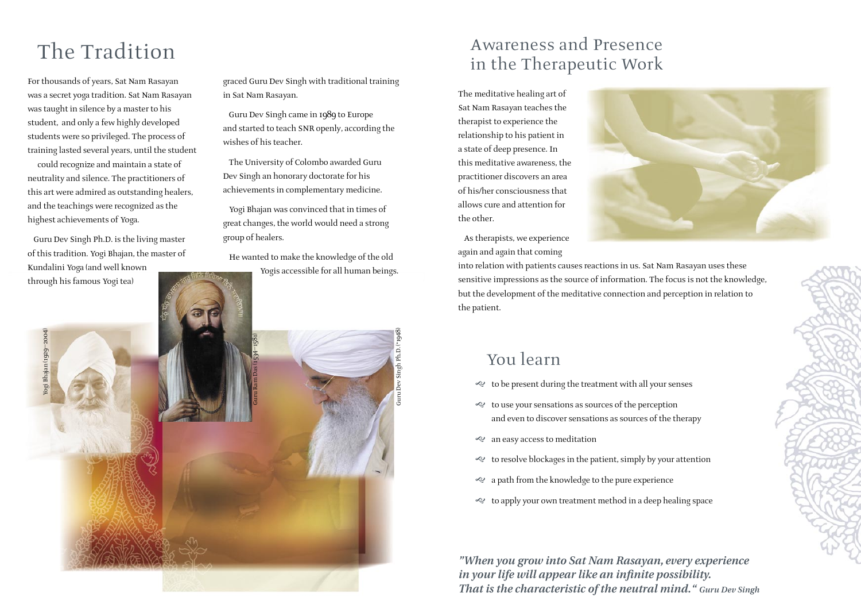# The Tradition

For thousands of years, Sat Nam Rasayan was a secret yoga tradition. Sat Nam Rasayan was taught in silence by a master to his student, and only a few highly developed students were so privileged. The process of training lasted several years, until the student could recognize and maintain a state of neutrality and silence. The practitioners of this art were admired as outstanding healers, and the teachings were recognized as the highest achievements of Yoga.

Guru Dev Singh Ph.D. is the living master of this tradition. Yogi Bhajan, the master of Kundalini Yoga (and well known through his famous Yogi tea)

graced Guru Dev Singh with traditional training in Sat Nam Rasayan.

Guru Dev Singh came in 1989 to Europe and started to teach SNR openly, according the wishes of his teacher.

The University of Colombo awarded Guru Dev Singh an honorary doctorate for his achievements in complementary medicine.

Yogi Bhajan was convinced that in times of great changes, the world would need a strong group of healers.

He wanted to make the knowledge of the old Yogis accessible for all human beings.

### Awareness and Presence in the Therapeutic Work

The meditative healing art of Sat Nam Rasayan teaches the therapist to experience the relationship to his patient in a state of deep presence. In this meditative awareness, the practitioner discovers an area of his/her consciousness that allows cure and attention for the other.

As therapists, we experience again and again that coming



into relation with patients causes reactions in us. Sat Nam Rasayan uses these sensitive impressions as the source of information. The focus is not the knowledge, but the development of the meditative connection and perception in relation to the patient.

### You learn

- g to be present during the treatment with all your senses
- g to use your sensations as sources of the perception and even to discover sensations as sources of the therapy
- e an easy access to meditation
- g to resolve blockages in the patient, simply by your attention
- e a path from the knowledge to the pure experience
- to apply your own treatment method in a deep healing space

*"When you grow into Sat Nam Rasayan, every experience in your life will appear like an infinite possibility. That is the characteristic of the neutral mind." Guru Dev Singh*

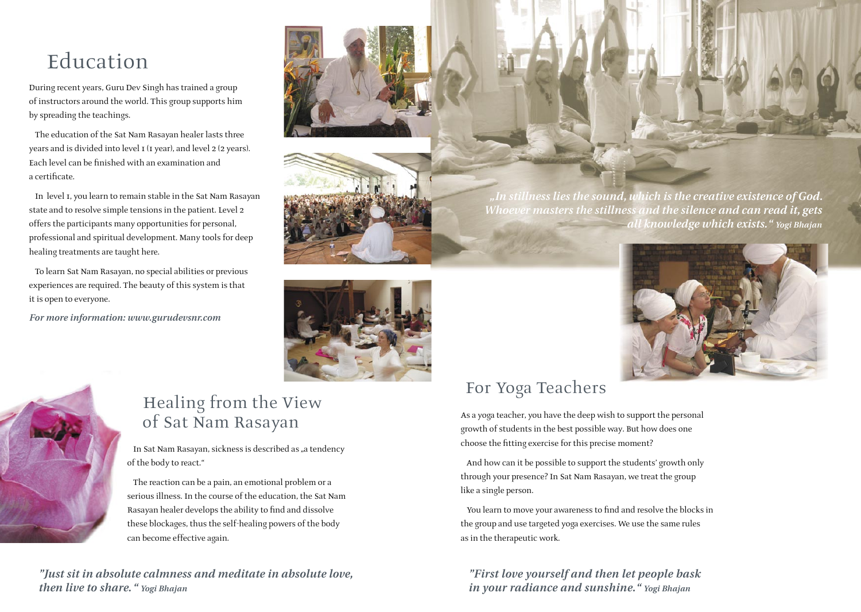# Education

During recent years, Guru Dev Singh has trained a group of instructors around the world. This group supports him by spreading the teachings.

The education of the Sat Nam Rasayan healer lasts three years and is divided into level 1 (1 year), and level 2 (2 years). Each level can be finished with an examination and a certificate.

In level 1, you learn to remain stable in the Sat Nam Rasayan state and to resolve simple tensions in the patient. Level 2 offers the participants many opportunities for personal, professional and spiritual development. Many tools for deep healing treatments are taught here.

To learn Sat Nam Rasayan, no special abilities or previous experiences are required. The beauty of this system is that it is open to everyone.

*For more information: www.gurudevsnr.com*



### Healing from the View of Sat Nam Rasayan

In Sat Nam Rasayan, sickness is described as "a tendency of the body to react."

The reaction can be a pain, an emotional problem or a serious illness. In the course of the education, the Sat Nam Rasayan healer develops the ability to find and dissolve these blockages, thus the self-healing powers of the body can become effective again.

*"Just sit in absolute calmness and meditate in absolute love, then live to share. " Yogi Bhajan* 





*"In stillness lies the sound, which is the creative existence of God. Whoever masters the stillness and the silence and can read it, gets all knowledge which exists." Yogi Bhajan*



## For Yoga Teachers

As a yoga teacher, you have the deep wish to support the personal growth of students in the best possible way. But how does one choose the fitting exercise for this precise moment?

And how can it be possible to support the students' growth only through your presence? In Sat Nam Rasayan, we treat the group like a single person.

You learn to move your awareness to find and resolve the blocks in the group and use targeted yoga exercises. We use the same rules as in the therapeutic work.

*"First love yourself and then let people bask in your radiance and sunshine." Yogi Bhajan*

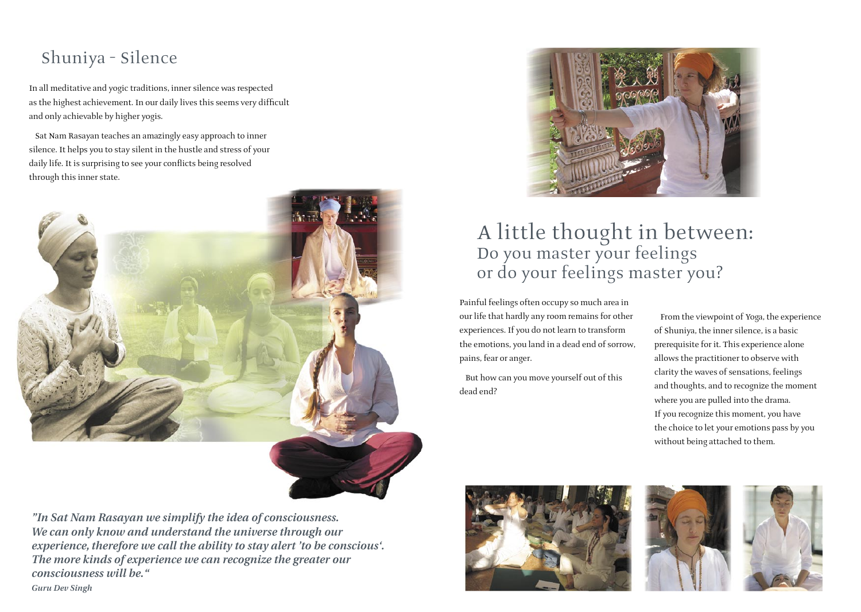### Shuniya – Silence

In all meditative and yogic traditions, inner silence was respected as the highest achievement. In our daily lives this seems very difficult and only achievable by higher yogis.

Sat Nam Rasayan teaches an amazingly easy approach to inner silence. It helps you to stay silent in the hustle and stress of your daily life. It is surprising to see your conflicts being resolved through this inner state.



*"In Sat Nam Rasayan we simplify the idea of consciousness. We can only know and understand the universe through our experience, therefore we call the ability to stay alert 'to be conscious'. The more kinds of experience we can recognize the greater our consciousness will be."*



### A little thought in between: Do you master your feelings or do your feelings master you?

Painful feelings often occupy so much area in our life that hardly any room remains for other experiences. If you do not learn to transform the emotions, you land in a dead end of sorrow, pains, fear or anger.

But how can you move yourself out of this dead end?

From the viewpoint of Yoga, the experience of Shuniya, the inner silence, is a basic prerequisite for it. This experience alone allows the practitioner to observe with clarity the waves of sensations, feelings and thoughts, and to recognize the moment where you are pulled into the drama. If you recognize this moment, you have the choice to let your emotions pass by you without being attached to them.







*Guru Dev Singh*